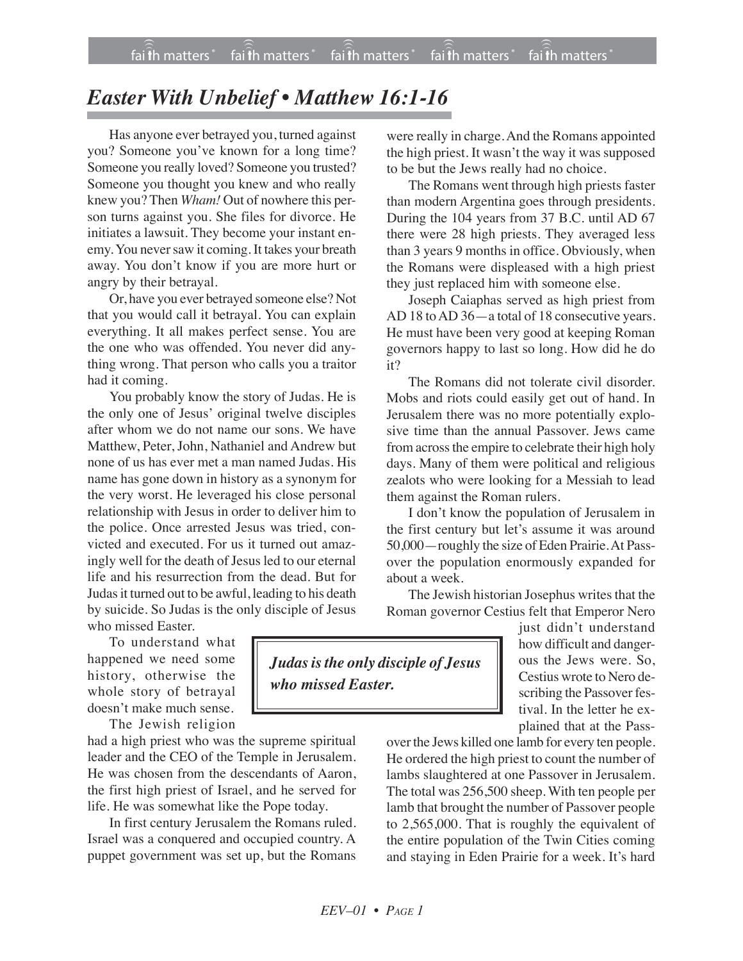## *Easter With Unbelief • Matthew 16:1-16*

Has anyone ever betrayed you, turned against you? Someone you've known for a long time? Someone you really loved? Someone you trusted? Someone you thought you knew and who really knew you? Then *Wham!* Out of nowhere this person turns against you. She files for divorce. He initiates a lawsuit. They become your instant enemy. You never saw it coming. It takes your breath away. You don't know if you are more hurt or angry by their betrayal.

Or, have you ever betrayed someone else? Not that you would call it betrayal. You can explain everything. It all makes perfect sense. You are the one who was offended. You never did anything wrong. That person who calls you a traitor had it coming.

You probably know the story of Judas. He is the only one of Jesus' original twelve disciples after whom we do not name our sons. We have Matthew, Peter, John, Nathaniel and Andrew but none of us has ever met a man named Judas. His name has gone down in history as a synonym for the very worst. He leveraged his close personal relationship with Jesus in order to deliver him to the police. Once arrested Jesus was tried, convicted and executed. For us it turned out amazingly well for the death of Jesus led to our eternal life and his resurrection from the dead. But for Judas it turned out to be awful, leading to his death by suicide. So Judas is the only disciple of Jesus who missed Easter.

To understand what happened we need some history, otherwise the whole story of betrayal doesn't make much sense.

The Jewish religion

had a high priest who was the supreme spiritual leader and the CEO of the Temple in Jerusalem. He was chosen from the descendants of Aaron, the first high priest of Israel, and he served for life. He was somewhat like the Pope today.

In first century Jerusalem the Romans ruled. Israel was a conquered and occupied country. A puppet government was set up, but the Romans

were really in charge.And the Romans appointed the high priest. It wasn't the way it was supposed to be but the Jews really had no choice.

The Romans went through high priests faster than modern Argentina goes through presidents. During the 104 years from 37 B.C. until AD 67 there were 28 high priests. They averaged less than 3 years 9 months in office. Obviously, when the Romans were displeased with a high priest they just replaced him with someone else.

Joseph Caiaphas served as high priest from AD 18 toAD 36—a total of 18 consecutive years. He must have been very good at keeping Roman governors happy to last so long. How did he do it?

The Romans did not tolerate civil disorder. Mobs and riots could easily get out of hand. In Jerusalem there was no more potentially explosive time than the annual Passover. Jews came from across the empire to celebrate their high holy days. Many of them were political and religious zealots who were looking for a Messiah to lead them against the Roman rulers.

I don't know the population of Jerusalem in the first century but let's assume it was around 50,000—roughly the size of Eden Prairie.At Passover the population enormously expanded for about a week.

The Jewish historian Josephus writes that the Roman governor Cestius felt that Emperor Nero

*Judasisthe only disciple of Jesus who missed Easter.*

just didn't understand how difficult and dangerous the Jews were. So, Cestius wrote to Nero describing the Passover festival. In the letter he explained that at the Pass-

over the Jews killed one lamb for every ten people. He ordered the high priest to count the number of lambs slaughtered at one Passover in Jerusalem. The total was 256,500 sheep. With ten people per lamb that brought the number of Passover people to 2,565,000. That is roughly the equivalent of the entire population of the Twin Cities coming and staying in Eden Prairie for a week. It's hard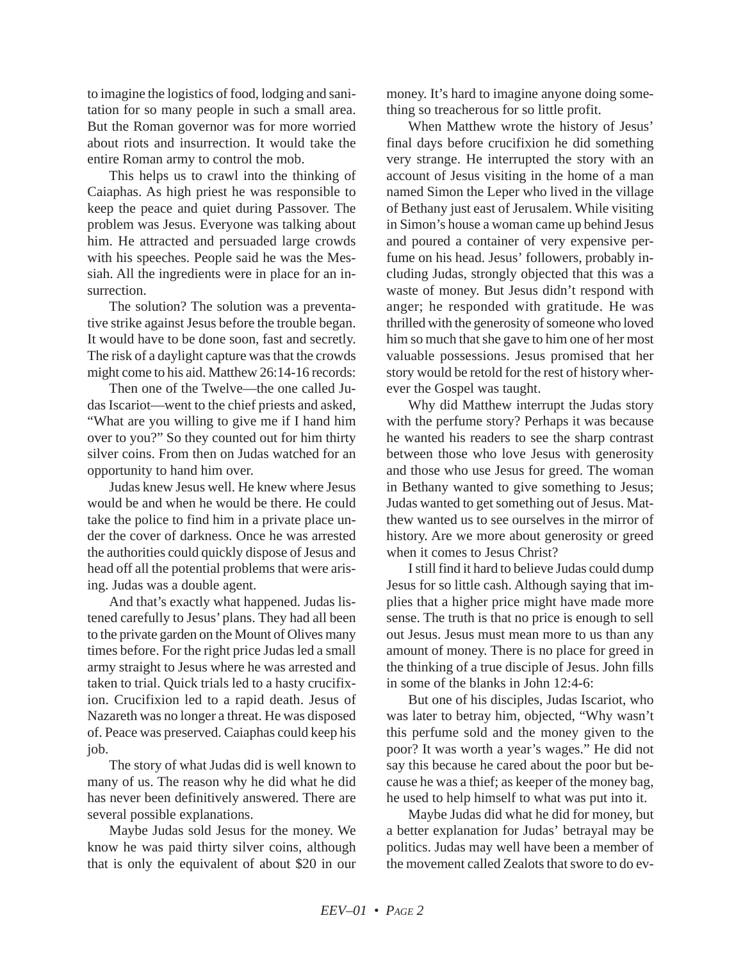to imagine the logistics of food, lodging and sanitation for so many people in such a small area. But the Roman governor was for more worried about riots and insurrection. It would take the entire Roman army to control the mob.

This helps us to crawl into the thinking of Caiaphas. As high priest he was responsible to keep the peace and quiet during Passover. The problem was Jesus. Everyone was talking about him. He attracted and persuaded large crowds with his speeches. People said he was the Messiah. All the ingredients were in place for an insurrection.

The solution? The solution was a preventative strike against Jesus before the trouble began. It would have to be done soon, fast and secretly. The risk of a daylight capture was that the crowds might come to his aid. Matthew 26:14-16 records:

Then one of the Twelve—the one called Judas Iscariot—went to the chief priests and asked, "What are you willing to give me if I hand him over to you?" So they counted out for him thirty silver coins. From then on Judas watched for an opportunity to hand him over.

Judas knew Jesus well. He knew where Jesus would be and when he would be there. He could take the police to find him in a private place under the cover of darkness. Once he was arrested the authorities could quickly dispose of Jesus and head off all the potential problems that were arising. Judas was a double agent.

And that's exactly what happened. Judas listened carefully to Jesus' plans. They had all been to the private garden on the Mount of Olives many times before. For the right price Judas led a small army straight to Jesus where he was arrested and taken to trial. Quick trials led to a hasty crucifixion. Crucifixion led to a rapid death. Jesus of Nazareth was no longer a threat. He was disposed of. Peace was preserved. Caiaphas could keep his job.

The story of what Judas did is well known to many of us. The reason why he did what he did has never been definitively answered. There are several possible explanations.

Maybe Judas sold Jesus for the money. We know he was paid thirty silver coins, although that is only the equivalent of about \$20 in our

money. It's hard to imagine anyone doing something so treacherous for so little profit.

When Matthew wrote the history of Jesus' final days before crucifixion he did something very strange. He interrupted the story with an account of Jesus visiting in the home of a man named Simon the Leper who lived in the village of Bethany just east of Jerusalem. While visiting in Simon's house a woman came up behind Jesus and poured a container of very expensive perfume on his head. Jesus' followers, probably including Judas, strongly objected that this was a waste of money. But Jesus didn't respond with anger; he responded with gratitude. He was thrilled with the generosity of someone who loved him so much that she gave to him one of her most valuable possessions. Jesus promised that her story would be retold for the rest of history wherever the Gospel was taught.

Why did Matthew interrupt the Judas story with the perfume story? Perhaps it was because he wanted his readers to see the sharp contrast between those who love Jesus with generosity and those who use Jesus for greed. The woman in Bethany wanted to give something to Jesus; Judas wanted to get something out of Jesus. Matthew wanted us to see ourselves in the mirror of history. Are we more about generosity or greed when it comes to Jesus Christ?

I still find it hard to believe Judas could dump Jesus for so little cash. Although saying that implies that a higher price might have made more sense. The truth is that no price is enough to sell out Jesus. Jesus must mean more to us than any amount of money. There is no place for greed in the thinking of a true disciple of Jesus. John fills in some of the blanks in John 12:4-6:

But one of his disciples, Judas Iscariot, who was later to betray him, objected, "Why wasn't this perfume sold and the money given to the poor? It was worth a year's wages." He did not say this because he cared about the poor but because he was a thief; as keeper of the money bag, he used to help himself to what was put into it.

Maybe Judas did what he did for money, but a better explanation for Judas' betrayal may be politics. Judas may well have been a member of the movement called Zealots that swore to do ev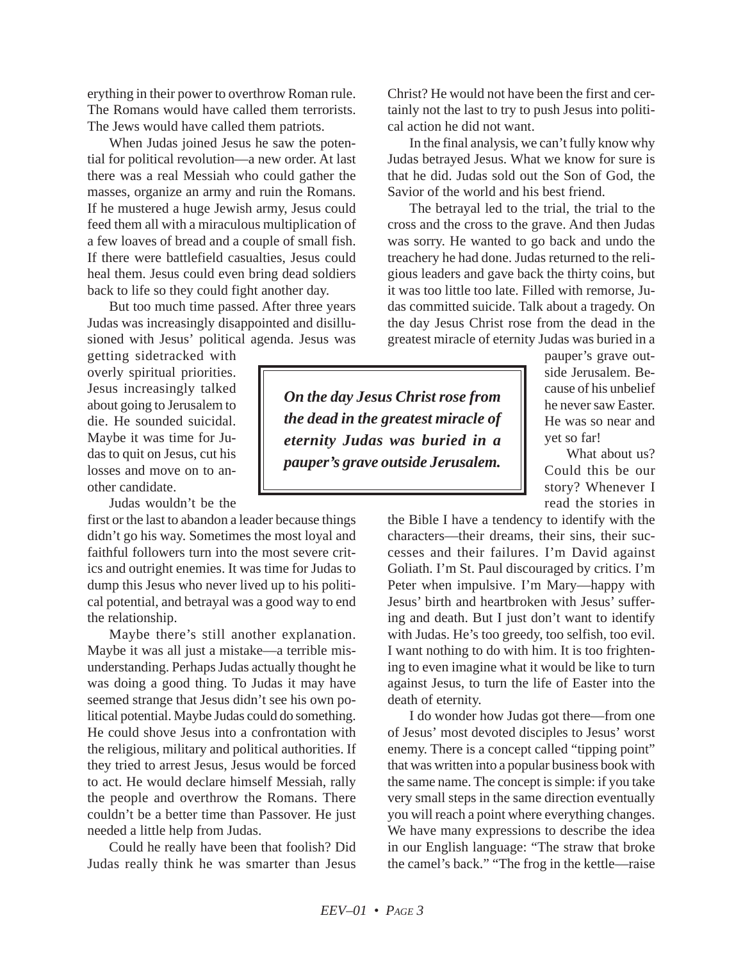erything in their power to overthrow Roman rule. The Romans would have called them terrorists. The Jews would have called them patriots.

When Judas joined Jesus he saw the potential for political revolution—a new order. At last there was a real Messiah who could gather the masses, organize an army and ruin the Romans. If he mustered a huge Jewish army, Jesus could feed them all with a miraculous multiplication of a few loaves of bread and a couple of small fish. If there were battlefield casualties, Jesus could heal them. Jesus could even bring dead soldiers back to life so they could fight another day.

But too much time passed. After three years Judas was increasingly disappointed and disillusioned with Jesus' political agenda. Jesus was

getting sidetracked with overly spiritual priorities. Jesus increasingly talked about going to Jerusalem to die. He sounded suicidal. Maybe it was time for Judas to quit on Jesus, cut his losses and move on to another candidate.

Judas wouldn't be the

first or the last to abandon a leader because things didn't go his way. Sometimes the most loyal and faithful followers turn into the most severe critics and outright enemies. It was time for Judas to dump this Jesus who never lived up to his political potential, and betrayal was a good way to end the relationship.

Maybe there's still another explanation. Maybe it was all just a mistake—a terrible misunderstanding. Perhaps Judas actually thought he was doing a good thing. To Judas it may have seemed strange that Jesus didn't see his own political potential. Maybe Judas could do something. He could shove Jesus into a confrontation with the religious, military and political authorities. If they tried to arrest Jesus, Jesus would be forced to act. He would declare himself Messiah, rally the people and overthrow the Romans. There couldn't be a better time than Passover. He just needed a little help from Judas.

Could he really have been that foolish? Did Judas really think he was smarter than Jesus Christ? He would not have been the first and certainly not the last to try to push Jesus into political action he did not want.

In the final analysis, we can't fully know why Judas betrayed Jesus. What we know for sure is that he did. Judas sold out the Son of God, the Savior of the world and his best friend.

The betrayal led to the trial, the trial to the cross and the cross to the grave. And then Judas was sorry. He wanted to go back and undo the treachery he had done. Judas returned to the religious leaders and gave back the thirty coins, but it was too little too late. Filled with remorse, Judas committed suicide. Talk about a tragedy. On the day Jesus Christ rose from the dead in the greatest miracle of eternity Judas was buried in a

*On the day Jesus Christ rose from the dead in the greatest miracle of eternity Judas was buried in a pauper's grave outside Jerusalem.*

pauper's grave outside Jerusalem. Because of his unbelief he never saw Easter. He was so near and yet so far!

What about us? Could this be our story? Whenever I read the stories in

the Bible I have a tendency to identify with the characters—their dreams, their sins, their successes and their failures. I'm David against Goliath. I'm St. Paul discouraged by critics. I'm Peter when impulsive. I'm Mary—happy with Jesus' birth and heartbroken with Jesus' suffering and death. But I just don't want to identify with Judas. He's too greedy, too selfish, too evil. I want nothing to do with him. It is too frightening to even imagine what it would be like to turn against Jesus, to turn the life of Easter into the death of eternity.

I do wonder how Judas got there—from one of Jesus' most devoted disciples to Jesus' worst enemy. There is a concept called "tipping point" that was written into a popular business book with the same name. The concept is simple: if you take very small steps in the same direction eventually you will reach a point where everything changes. We have many expressions to describe the idea in our English language: "The straw that broke the camel's back." "The frog in the kettle—raise